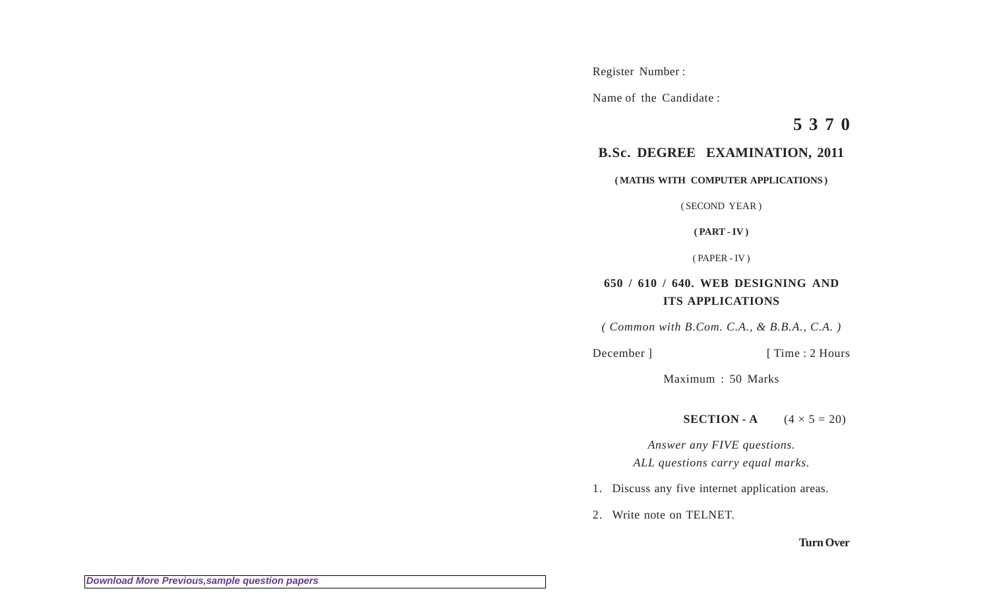Register Number :

Name of the Candidate :

**5 3 7 0**

## **B.Sc. DEGREE EXAMINATION, 2011**

**( MATHS WITH COMPUTER APPLICATIONS )**

( SECOND YEAR )

**( PART - IV )**

( PAPER - IV )

## **650 / 610 / 640. WEB DESIGNING AND ITS APPLICATIONS**

*( Common with B.Com. C.A., & B.B.A., C.A. )*

December ] [ Time : 2 Hours

Maximum : 50 Marks

## **SECTION - A**  $(4 \times 5 = 20)$

*Answer any FIVE questions. ALL questions carry equal marks.*

- 1. Discuss any five internet application areas.
- 2. Write note on TELNET.

## **Turn Over**